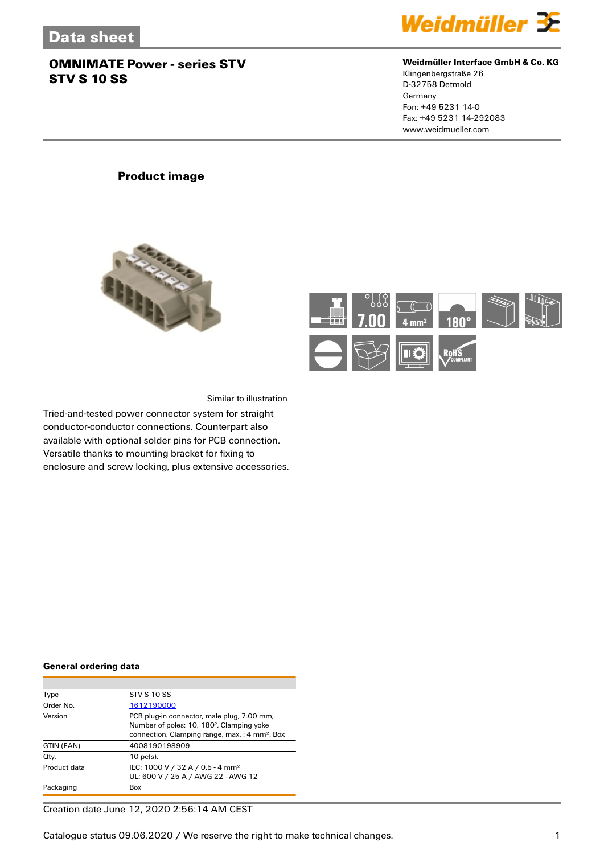

#### **Weidmüller Interface GmbH & Co. KG**

Klingenbergstraße 26 D-32758 Detmold Germany Fon: +49 5231 14-0 Fax: +49 5231 14-292083 www.weidmueller.com

## **Product image**





Similar to illustration

Tried-and-tested power connector system for straight conductor-conductor connections. Counterpart also available with optional solder pins for PCB connection. Versatile thanks to mounting bracket for fixing to enclosure and screw locking, plus extensive accessories.

#### **General ordering data**

| Type         | <b>STV S 10 SS</b>                                                                                                                                  |
|--------------|-----------------------------------------------------------------------------------------------------------------------------------------------------|
| Order No.    | 1612190000                                                                                                                                          |
| Version      | PCB plug-in connector, male plug, 7.00 mm,<br>Number of poles: 10, 180°, Clamping yoke<br>connection, Clamping range, max.: 4 mm <sup>2</sup> , Box |
| GTIN (EAN)   | 4008190198909                                                                                                                                       |
| Qty.         | $10$ pc(s).                                                                                                                                         |
| Product data | IEC: 1000 V / 32 A / 0.5 - 4 mm <sup>2</sup><br>UL: 600 V / 25 A / AWG 22 - AWG 12                                                                  |
| Packaging    | Box                                                                                                                                                 |

Creation date June 12, 2020 2:56:14 AM CEST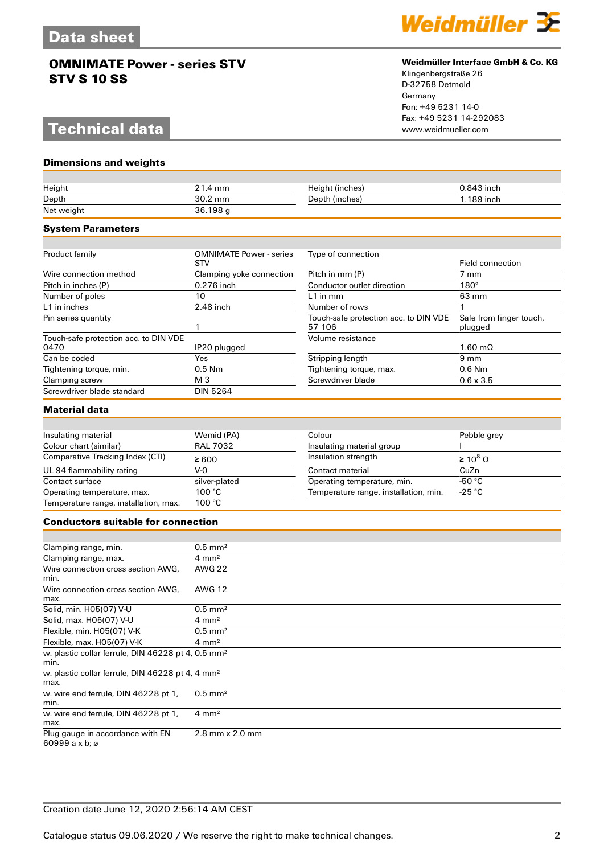# **Technical data**

**Dimensions and weights**



#### **Weidmüller Interface GmbH & Co. KG**

Klingenbergstraße 26 D-32758 Detmold Germany Fon: +49 5231 14-0 Fax: +49 5231 14-292083

| Height                                                                 | 21.4 mm                               | Height (inches)                                 | 0.843 inch                         |
|------------------------------------------------------------------------|---------------------------------------|-------------------------------------------------|------------------------------------|
| Depth<br>Net weight                                                    | 30.2 mm<br>36.198 g                   | Depth (inches)                                  | 1.189 inch                         |
|                                                                        |                                       |                                                 |                                    |
| <b>System Parameters</b>                                               |                                       |                                                 |                                    |
|                                                                        |                                       |                                                 |                                    |
| Product family                                                         | <b>OMNIMATE Power - series</b><br>STV | Type of connection                              | <b>Field connection</b>            |
| Wire connection method                                                 | Clamping yoke connection              | Pitch in mm (P)                                 | 7 mm                               |
| Pitch in inches (P)                                                    | 0.276 inch                            | Conductor outlet direction                      | $180^\circ$                        |
| Number of poles                                                        | 10                                    | $L1$ in mm                                      | 63 mm                              |
| L1 in inches                                                           | 2.48 inch                             | Number of rows                                  | 1                                  |
| Pin series quantity                                                    | 1                                     | Touch-safe protection acc. to DIN VDE<br>57 106 | Safe from finger touch,<br>plugged |
| Touch-safe protection acc. to DIN VDE                                  |                                       | Volume resistance                               |                                    |
| 0470                                                                   | IP20 plugged                          |                                                 | $1.60 \text{ m}\Omega$             |
| Can be coded                                                           | Yes                                   | Stripping length                                | $9 \text{ mm}$                     |
| Tightening torque, min.                                                | 0.5 Nm                                | Tightening torque, max.                         | 0.6 Nm                             |
| Clamping screw                                                         | M 3                                   | Screwdriver blade                               | $0.6 \times 3.5$                   |
| Screwdriver blade standard                                             | <b>DIN 5264</b>                       |                                                 |                                    |
| <b>Material data</b>                                                   |                                       |                                                 |                                    |
|                                                                        |                                       |                                                 |                                    |
| Insulating material                                                    | Wemid (PA)                            | Colour                                          | Pebble grey                        |
| Colour chart (similar)                                                 | <b>RAL 7032</b>                       | Insulating material group                       |                                    |
| Comparative Tracking Index (CTI)                                       | $\geq 600$                            | Insulation strength                             | $\geq 10^8 \Omega$                 |
| UL 94 flammability rating                                              | $V-0$                                 | Contact material                                | CuZn                               |
| Contact surface                                                        | silver-plated                         | Operating temperature, min.                     | -50 $°C$                           |
| Operating temperature, max.                                            | 100 °C                                | Temperature range, installation, min.           | $-25 °C$                           |
| Temperature range, installation, max.                                  | 100 °C                                |                                                 |                                    |
| <b>Conductors suitable for connection</b>                              |                                       |                                                 |                                    |
|                                                                        |                                       |                                                 |                                    |
| Clamping range, min.                                                   | $0.5$ mm <sup>2</sup>                 |                                                 |                                    |
| Clamping range, max.                                                   | $4 \text{ mm}^2$                      |                                                 |                                    |
| Wire connection cross section AWG,<br>min.                             | <b>AWG 22</b>                         |                                                 |                                    |
| Wire connection cross section AWG.<br>max.                             | <b>AWG 12</b>                         |                                                 |                                    |
| Solid, min. H05(07) V-U                                                | $0.5$ mm <sup>2</sup>                 |                                                 |                                    |
| Solid, max. H05(07) V-U                                                | $4 \text{ mm}^2$                      |                                                 |                                    |
| Flexible, min. H05(07) V-K                                             | $0.5$ mm <sup>2</sup>                 |                                                 |                                    |
| Flexible, max. H05(07) V-K                                             | $4 \text{ mm}^2$                      |                                                 |                                    |
| w. plastic collar ferrule, DIN 46228 pt 4, 0.5 mm <sup>2</sup><br>min. |                                       |                                                 |                                    |
| w. plastic collar ferrule, DIN 46228 pt 4, 4 mm <sup>2</sup><br>max.   |                                       |                                                 |                                    |
| w. wire end ferrule, DIN 46228 pt 1,<br>min.                           | $0.5$ mm <sup>2</sup>                 |                                                 |                                    |
| w. wire end ferrule, DIN 46228 pt 1,<br>max.                           | $4 \text{ mm}^2$                      |                                                 |                                    |
| Plug gauge in accordance with EN<br>60999 a x b; ø                     | 2.8 mm x 2.0 mm                       |                                                 |                                    |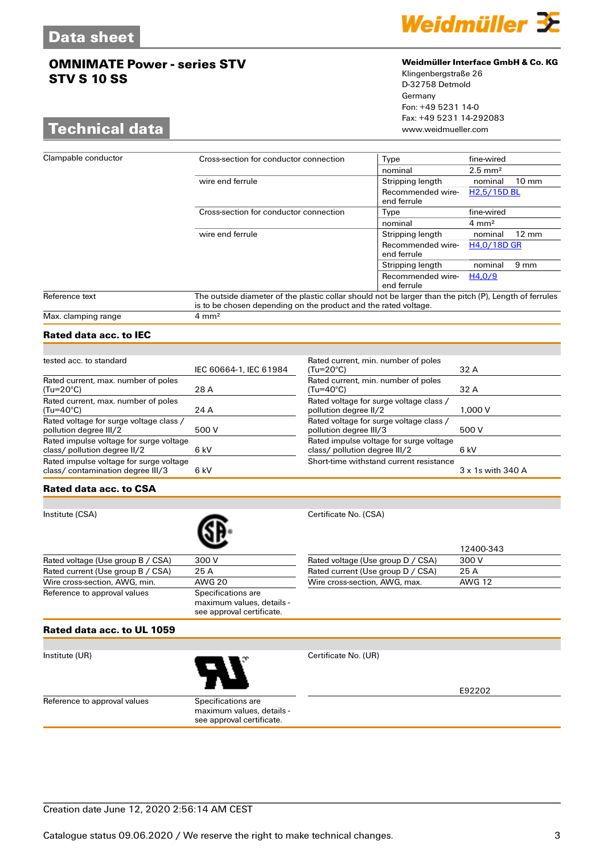## **Technical data**



#### **Weidmüller Interface GmbH & Co. KG**

Klingenbergstraße 26 D-32758 Detmold Germany Fon: +49 5231 14-0 Fax: +49 5231 14-292083

| Clampable conductor | Cross-section for conductor connection                                                                                                                                    | Type                             | fine-wired                 |
|---------------------|---------------------------------------------------------------------------------------------------------------------------------------------------------------------------|----------------------------------|----------------------------|
|                     |                                                                                                                                                                           | nominal                          | $2.5 \text{ mm}^2$         |
|                     | wire end ferrule                                                                                                                                                          | Stripping length                 | $10 \text{ mm}$<br>nominal |
|                     |                                                                                                                                                                           | Recommended wire-<br>end ferrule | H <sub>2.5</sub> /15D BL   |
|                     | Cross-section for conductor connection                                                                                                                                    | Type                             | fine-wired                 |
|                     |                                                                                                                                                                           | nominal                          | $4 \text{ mm}^2$           |
|                     | wire end ferrule                                                                                                                                                          | Stripping length                 | $12 \text{ mm}$<br>nominal |
|                     |                                                                                                                                                                           | Recommended wire-<br>end ferrule | H4,0/18D GR                |
|                     |                                                                                                                                                                           | Stripping length                 | $9 \text{ mm}$<br>nominal  |
|                     |                                                                                                                                                                           | Recommended wire-<br>end ferrule | H4.0/9                     |
| Reference text      | The outside diameter of the plastic collar should not be larger than the pitch (P), Length of ferrules<br>is to be chosen depending on the product and the rated voltage. |                                  |                            |
| Max. clamping range | $4 \text{ mm}^2$                                                                                                                                                          |                                  |                            |

## **Rated data acc. to IEC**

| tested acc. to standard                                                     |                        | Rated cu                   |
|-----------------------------------------------------------------------------|------------------------|----------------------------|
|                                                                             | IEC 60664-1, IEC 61984 | $(Tu=20^\circ$             |
| Rated current, max. number of poles<br>$(Tu=20^{\circ}C)$                   | 28 A                   | Rated cu<br>$(Tu=40^\circ$ |
| Rated current, max. number of poles<br>$(Tu=40^{\circ}C)$                   | 24 A                   | Rated vo<br>pollution      |
| Rated voltage for surge voltage class /<br>pollution degree III/2           | 500 V                  | Rated vo<br>pollutior      |
| Rated impulse voltage for surge voltage<br>class/ pollution degree II/2     | 6 kV                   | Rated in<br>class/p        |
| Rated impulse voltage for surge voltage<br>class/contamination degree III/3 | 6 kV                   | Short-tir                  |

| Rated current, min. number of poles     |                   |
|-----------------------------------------|-------------------|
| $(Tu=20^{\circ}C)$                      | 32 A              |
| Rated current, min. number of poles     |                   |
| $(Tu=40^{\circ}C)$                      | 32 A              |
| Rated voltage for surge voltage class / |                   |
| pollution degree II/2                   | 1.000V            |
| Rated voltage for surge voltage class / |                   |
| pollution degree III/3                  | 500 V             |
| Rated impulse voltage for surge voltage |                   |
| class/ pollution degree III/2           | 6 kV              |
| Short-time withstand current resistance |                   |
|                                         | 3 x 1s with 340 A |
|                                         |                   |

#### **Rated data acc. to CSA**

Institute (CSA) Certificate No. (CSA) Rated voltage (Use group B / CSA) 300 V Rated current (Use group B / CSA) 25 A<br>Wire cross-section, AWG, min. AWG 20 Wire cross-section, AWG, min. Reference to approval values Specifications are maximum values, details -

|                                   | 12400-343 |
|-----------------------------------|-----------|
| Rated voltage (Use group D / CSA) | 300 V     |
| Rated current (Use group D / CSA) | 25 A      |
| Wire cross-section, AWG, max.     | AWG 12    |

### **Rated data acc. to UL 1059**



Institute (UR) Certificate No. (UR)

E92202

Reference to approval values Specifications are maximum values, details see approval certificate.

see approval certificate.

Creation date June 12, 2020 2:56:14 AM CEST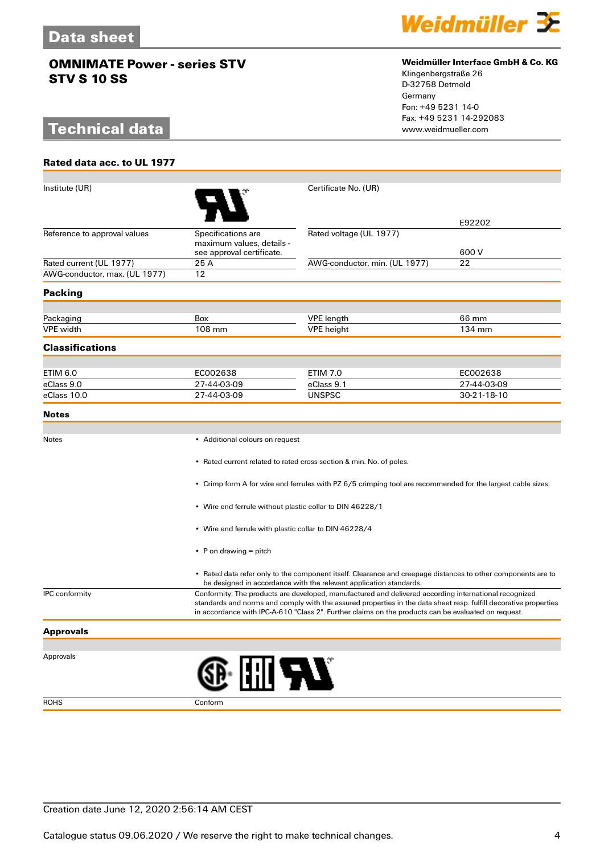# **Technical data**

**Rated data acc. to UL 1977**



#### **Weidmüller Interface GmbH & Co. KG**

Klingenbergstraße 26 D-32758 Detmold Germany Fon: +49 5231 14-0 Fax: +49 5231 14-292083

| Institute (UR)                |                                                                                                                                                                                                                                                                                                                                  | Certificate No. (UR)                                                                                                                                                               |             |
|-------------------------------|----------------------------------------------------------------------------------------------------------------------------------------------------------------------------------------------------------------------------------------------------------------------------------------------------------------------------------|------------------------------------------------------------------------------------------------------------------------------------------------------------------------------------|-------------|
|                               |                                                                                                                                                                                                                                                                                                                                  |                                                                                                                                                                                    |             |
|                               |                                                                                                                                                                                                                                                                                                                                  |                                                                                                                                                                                    | E92202      |
| Reference to approval values  | Specifications are                                                                                                                                                                                                                                                                                                               | Rated voltage (UL 1977)                                                                                                                                                            |             |
|                               | maximum values, details -<br>see approval certificate.                                                                                                                                                                                                                                                                           |                                                                                                                                                                                    | 600 V       |
| Rated current (UL 1977)       | 25 A                                                                                                                                                                                                                                                                                                                             | AWG-conductor, min. (UL 1977)                                                                                                                                                      | 22          |
| AWG-conductor, max. (UL 1977) | 12                                                                                                                                                                                                                                                                                                                               |                                                                                                                                                                                    |             |
| <b>Packing</b>                |                                                                                                                                                                                                                                                                                                                                  |                                                                                                                                                                                    |             |
|                               |                                                                                                                                                                                                                                                                                                                                  |                                                                                                                                                                                    |             |
| Packaging                     | Box                                                                                                                                                                                                                                                                                                                              | <b>VPE</b> length                                                                                                                                                                  | 66 mm       |
| <b>VPE</b> width              | 108 mm                                                                                                                                                                                                                                                                                                                           | <b>VPE</b> height                                                                                                                                                                  | 134 mm      |
| <b>Classifications</b>        |                                                                                                                                                                                                                                                                                                                                  |                                                                                                                                                                                    |             |
| ETIM 6.0                      | EC002638                                                                                                                                                                                                                                                                                                                         | <b>ETIM 7.0</b>                                                                                                                                                                    | EC002638    |
| eClass 9.0                    | 27-44-03-09                                                                                                                                                                                                                                                                                                                      | eClass 9.1                                                                                                                                                                         | 27-44-03-09 |
| eClass 10.0                   | 27-44-03-09                                                                                                                                                                                                                                                                                                                      | <b>UNSPSC</b>                                                                                                                                                                      | 30-21-18-10 |
| <b>Notes</b>                  |                                                                                                                                                                                                                                                                                                                                  |                                                                                                                                                                                    |             |
|                               |                                                                                                                                                                                                                                                                                                                                  |                                                                                                                                                                                    |             |
| Notes                         | • Additional colours on request                                                                                                                                                                                                                                                                                                  |                                                                                                                                                                                    |             |
|                               |                                                                                                                                                                                                                                                                                                                                  |                                                                                                                                                                                    |             |
|                               |                                                                                                                                                                                                                                                                                                                                  | • Rated current related to rated cross-section & min. No. of poles.                                                                                                                |             |
|                               |                                                                                                                                                                                                                                                                                                                                  | • Crimp form A for wire end ferrules with PZ 6/5 crimping tool are recommended for the largest cable sizes.                                                                        |             |
|                               | • Wire end ferrule without plastic collar to DIN 46228/1                                                                                                                                                                                                                                                                         |                                                                                                                                                                                    |             |
|                               | • Wire end ferrule with plastic collar to DIN 46228/4                                                                                                                                                                                                                                                                            |                                                                                                                                                                                    |             |
|                               |                                                                                                                                                                                                                                                                                                                                  |                                                                                                                                                                                    |             |
|                               | • P on drawing $=$ pitch                                                                                                                                                                                                                                                                                                         |                                                                                                                                                                                    |             |
|                               |                                                                                                                                                                                                                                                                                                                                  | • Rated data refer only to the component itself. Clearance and creepage distances to other components are to<br>be designed in accordance with the relevant application standards. |             |
| <b>IPC</b> conformity         | Conformity: The products are developed, manufactured and delivered according international recognized<br>standards and norms and comply with the assured properties in the data sheet resp. fulfill decorative properties<br>in accordance with IPC-A-610 "Class 2". Further claims on the products can be evaluated on request. |                                                                                                                                                                                    |             |
| <b>Approvals</b>              |                                                                                                                                                                                                                                                                                                                                  |                                                                                                                                                                                    |             |
|                               |                                                                                                                                                                                                                                                                                                                                  |                                                                                                                                                                                    |             |
| Approvals                     |                                                                                                                                                                                                                                                                                                                                  |                                                                                                                                                                                    |             |
|                               | ® I∏I ™                                                                                                                                                                                                                                                                                                                          |                                                                                                                                                                                    |             |
| <b>ROHS</b>                   | Conform                                                                                                                                                                                                                                                                                                                          |                                                                                                                                                                                    |             |

Creation date June 12, 2020 2:56:14 AM CEST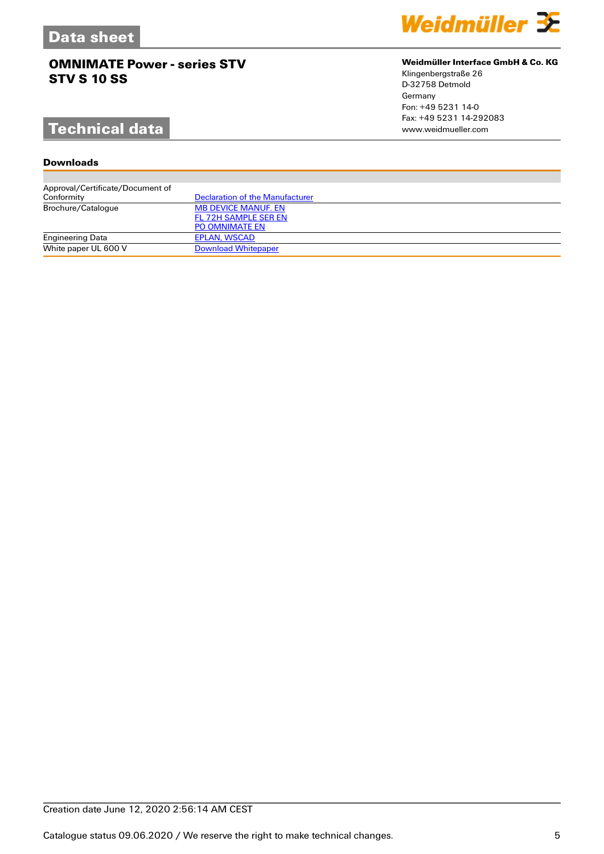# **Technical data**

### **Downloads**

| Approval/Certificate/Document of |                                        |
|----------------------------------|----------------------------------------|
| Conformity                       | <b>Declaration of the Manufacturer</b> |
| Brochure/Catalogue               | <b>MB DEVICE MANUF. EN</b>             |
|                                  | FL 72H SAMPLE SER EN                   |
|                                  | <b>PO OMNIMATE EN</b>                  |
| <b>Engineering Data</b>          | EPLAN, WSCAD                           |
| White paper UL 600 V             | <b>Download Whitepaper</b>             |

### **Weidmüller Interface GmbH & Co. KG**

Klingenbergstraße 26 D-32758 Detmold Germany Fon: +49 5231 14-0 Fax: +49 5231 14-292083